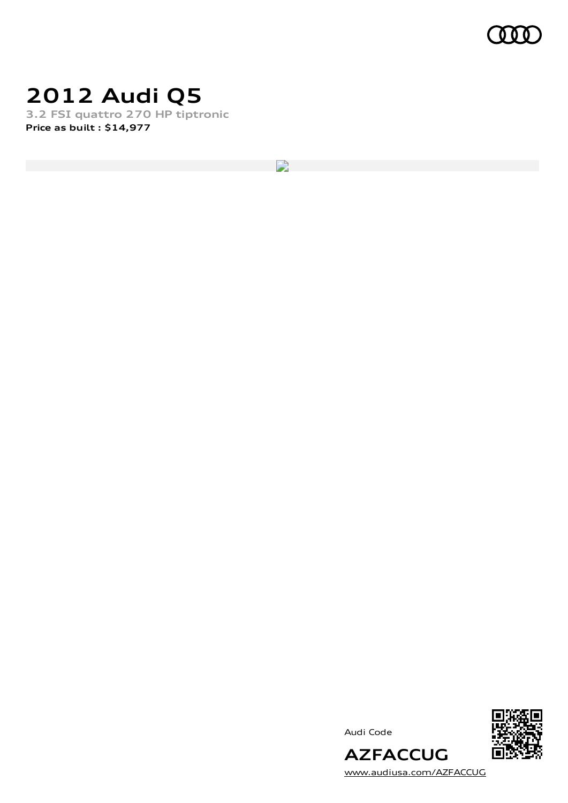

## **2012 Audi Q5**

**3.2 FSI quattro 270 HP tiptronic Price as built [:](#page-9-0) \$14,977**

D

Audi Code



[www.audiusa.com/AZFACCUG](https://www.audiusa.com/AZFACCUG)

**AZFACCUG**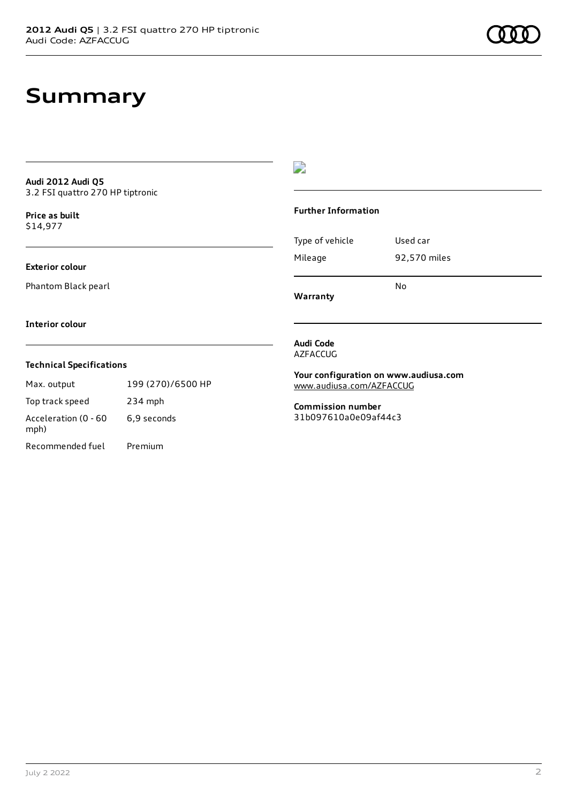**Audi 2012 Audi Q5** 3.2 FSI quattro 270 HP tiptronic

**Price as buil[t](#page-9-0)** \$14,977

**Exterior colour**

Phantom Black pearl

 $\overline{\phantom{a}}$ 

#### **Further Information**

Type of vehicle Used car Mileage 92,570 miles No

**Warranty**

#### **Interior colour**

#### **Technical Specifications**

Max. output 199 (270)/6500 HP Top track speed 234 mph Acceleration (0 - 60 mph) 6,9 seconds

Recommended fuel Premium

**Audi Code** AZFACCUG

**Your configuration on www.audiusa.com** [www.audiusa.com/AZFACCUG](https://www.audiusa.com/AZFACCUG)

**Commission number** 31b097610a0e09af44c3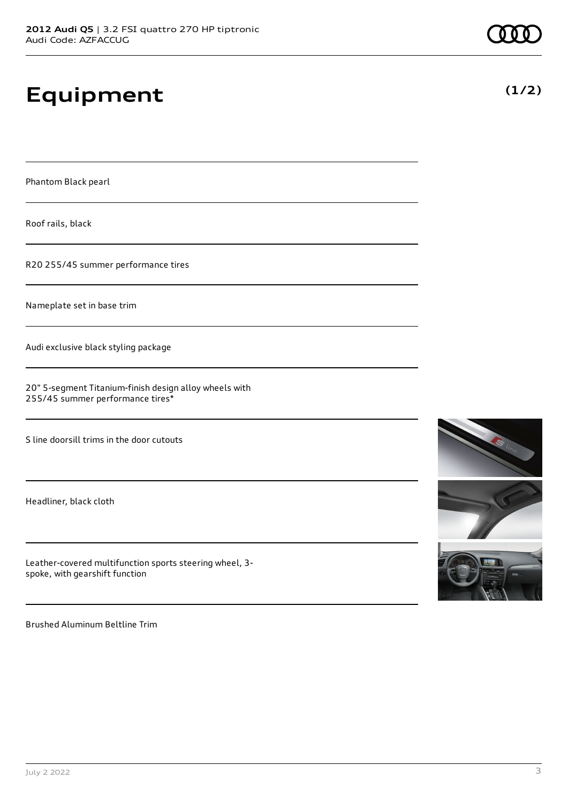# **Equipment**

Phantom Black pearl

Roof rails, black

R20 255/45 summer performance tires

Nameplate set in base trim

Audi exclusive black styling package

20" 5-segment Titanium-finish design alloy wheels with 255/45 summer performance tires\*

S line doorsill trims in the door cutouts

Headliner, black cloth

Leather-covered multifunction sports steering wheel, 3 spoke, with gearshift function

Brushed Aluminum Beltline Trim

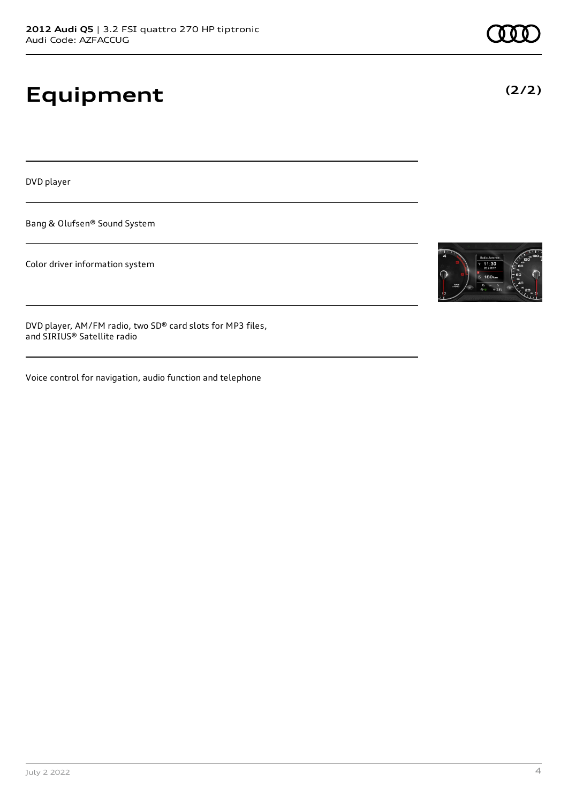# **Equipment**

DVD player

Bang & Olufsen® Sound System

Color driver information system

DVD player, AM/FM radio, two SD® card slots for MP3 files, and SIRIUS® Satellite radio

Voice control for navigation, audio function and telephone

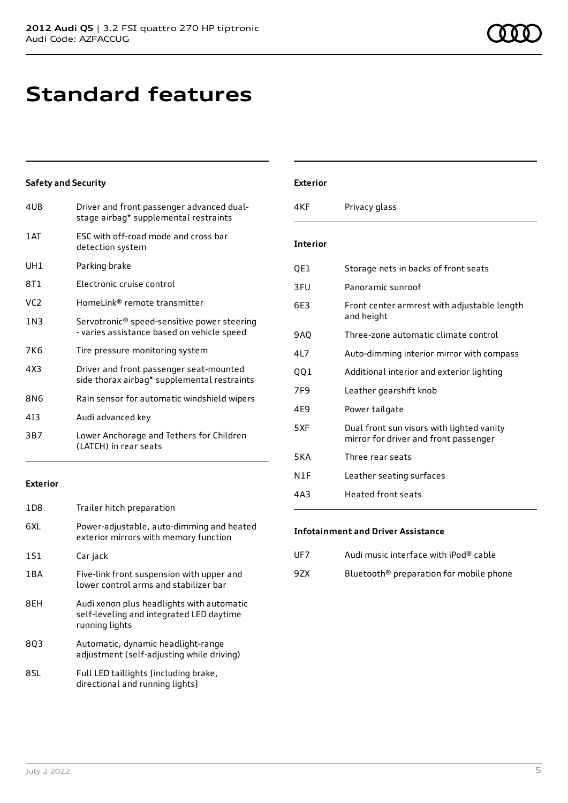# **Standard features**

### **Safety and Security**

| Driver and front passenger advanced dual-<br>stage airbag* supplemental restraints        |
|-------------------------------------------------------------------------------------------|
| ESC with off-road mode and cross bar<br>detection system                                  |
| Parking brake                                                                             |
| Electronic cruise control                                                                 |
| HomeLink® remote transmitter                                                              |
| Servotronic® speed-sensitive power steering<br>- varies assistance based on vehicle speed |
| Tire pressure monitoring system                                                           |
| Driver and front passenger seat-mounted<br>side thorax airbag* supplemental restraints    |
| Rain sensor for automatic windshield wipers                                               |
| Audi advanced key                                                                         |
| Lower Anchorage and Tethers for Children<br>(LATCH) in rear seats                         |
|                                                                                           |

#### **Exterior**

| 1D <sub>8</sub> | Trailer hitch preparation                                                                               |
|-----------------|---------------------------------------------------------------------------------------------------------|
| 6XL             | Power-adjustable, auto-dimming and heated<br>exterior mirrors with memory function                      |
| 1S1             | Car jack                                                                                                |
| 1BA             | Five-link front suspension with upper and<br>lower control arms and stabilizer bar                      |
| 8EH             | Audi xenon plus headlights with automatic<br>self-leveling and integrated LED daytime<br>running lights |
| 803             | Automatic, dynamic headlight-range<br>adjustment (self-adjusting while driving)                         |
| 8SL             | Full LED taillights [including brake,<br>directional and running lights]                                |

#### **Exterior**

| 4KF             | Privacy glass                                                                      |
|-----------------|------------------------------------------------------------------------------------|
| <b>Interior</b> |                                                                                    |
| QE1             | Storage nets in backs of front seats                                               |
| 3FU             | Panoramic sunroof                                                                  |
| 6F3             | Front center armrest with adjustable length<br>and height                          |
| 9AO             | Three-zone automatic climate control                                               |
| 41 7            | Auto-dimming interior mirror with compass                                          |
| 001             | Additional interior and exterior lighting                                          |
| 7F9             | Leather gearshift knob                                                             |
| 4E9             | Power tailgate                                                                     |
| 5XF             | Dual front sun visors with lighted vanity<br>mirror for driver and front passenger |
| 5 K A           | Three rear seats                                                                   |
| N1F             | Leather seating surfaces                                                           |
| 4A3             | Heated front seats                                                                 |

### **Infotainment and Driver Assistance**

| UF7  | Audi music interface with iPod® cable               |
|------|-----------------------------------------------------|
| 9ZX. | Bluetooth <sup>®</sup> preparation for mobile phone |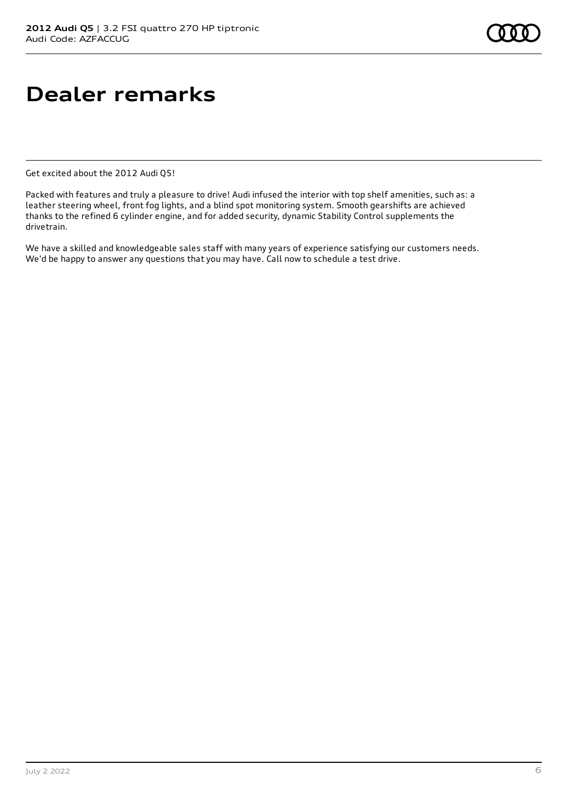## **Dealer remarks**

Get excited about the 2012 Audi Q5!

Packed with features and truly a pleasure to drive! Audi infused the interior with top shelf amenities, such as: a leather steering wheel, front fog lights, and a blind spot monitoring system. Smooth gearshifts are achieved thanks to the refined 6 cylinder engine, and for added security, dynamic Stability Control supplements the drivetrain.

We have a skilled and knowledgeable sales staff with many years of experience satisfying our customers needs. We'd be happy to answer any questions that you may have. Call now to schedule a test drive.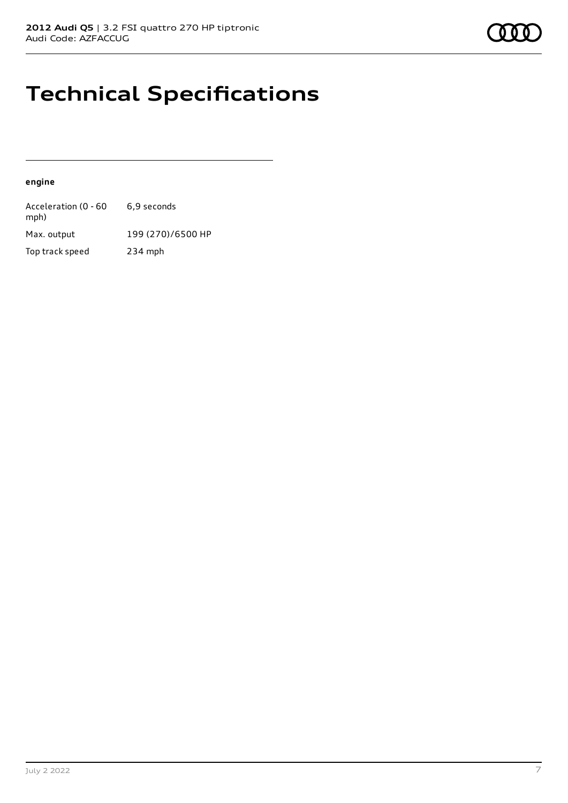## **Technical Specifications**

#### **engine**

| Acceleration (0 - 60<br>mph) | 6.9 seconds       |
|------------------------------|-------------------|
| Max. output                  | 199 (270)/6500 HP |
| Top track speed              | $234$ mph         |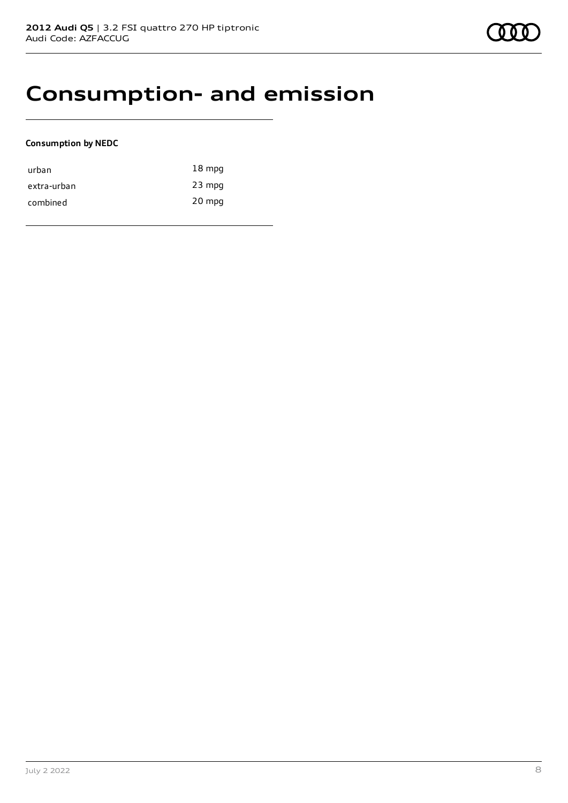### **Consumption- and emission**

### **Consumption by NEDC**

| urban       | $18 \text{ mpg}$ |
|-------------|------------------|
| extra-urban | $23$ mpg         |
| combined    | 20 mpg           |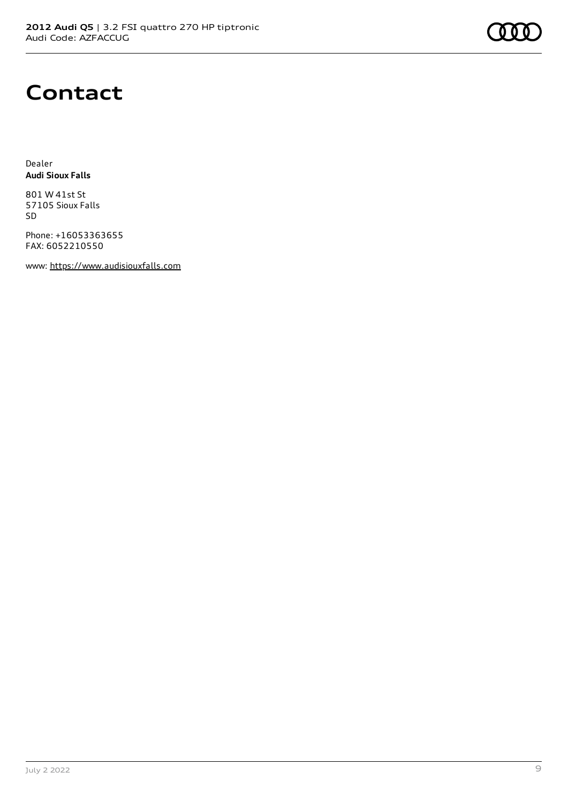

### **Contact**

Dealer **Audi Sioux Falls**

801 W 41st St 57105 Sioux Falls SD

Phone: +16053363655 FAX: 6052210550

www: [https://www.audisiouxfalls.com](https://www.audisiouxfalls.com/)